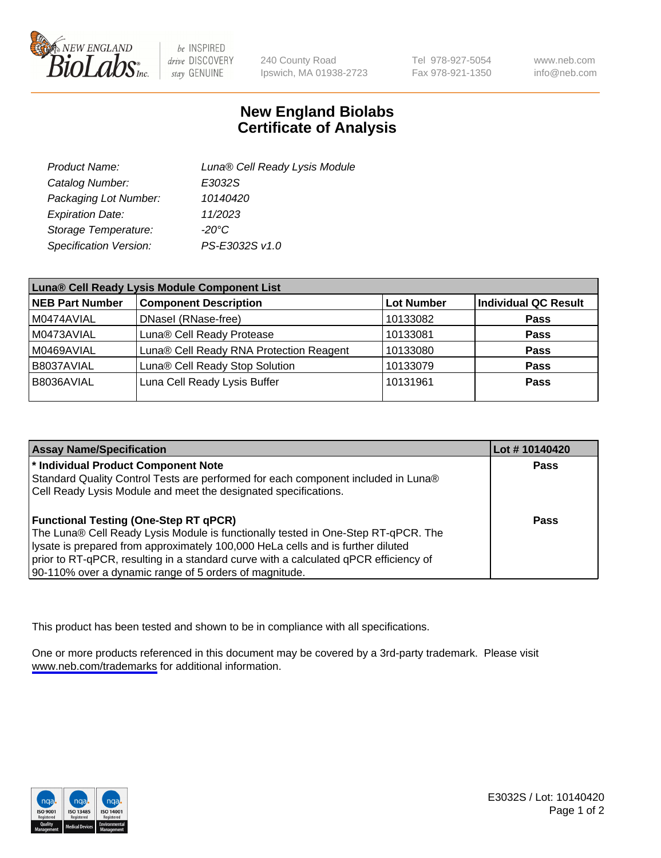

be INSPIRED drive DISCOVERY stay GENUINE

240 County Road Ipswich, MA 01938-2723 Tel 978-927-5054 Fax 978-921-1350

www.neb.com info@neb.com

## **New England Biolabs Certificate of Analysis**

| Product Name:           | Luna® Cell Ready Lysis Module |
|-------------------------|-------------------------------|
| Catalog Number:         | E3032S                        |
| Packaging Lot Number:   | 10140420                      |
| <b>Expiration Date:</b> | 11/2023                       |
| Storage Temperature:    | -20°C                         |
| Specification Version:  | PS-E3032S v1.0                |

| Luna® Cell Ready Lysis Module Component List |                                         |                   |                             |  |
|----------------------------------------------|-----------------------------------------|-------------------|-----------------------------|--|
| NEB Part Number                              | <b>Component Description</b>            | <b>Lot Number</b> | <b>Individual QC Result</b> |  |
| M0474AVIAL                                   | DNasel (RNase-free)                     | 10133082          | <b>Pass</b>                 |  |
| M0473AVIAL                                   | Luna® Cell Ready Protease               | 10133081          | <b>Pass</b>                 |  |
| M0469AVIAL                                   | Luna® Cell Ready RNA Protection Reagent | 10133080          | <b>Pass</b>                 |  |
| B8037AVIAL                                   | Luna® Cell Ready Stop Solution          | 10133079          | <b>Pass</b>                 |  |
| B8036AVIAL                                   | Luna Cell Ready Lysis Buffer            | 10131961          | Pass                        |  |
|                                              |                                         |                   |                             |  |

| <b>Assay Name/Specification</b>                                                      | Lot #10140420 |
|--------------------------------------------------------------------------------------|---------------|
| * Individual Product Component Note                                                  | <b>Pass</b>   |
| Standard Quality Control Tests are performed for each component included in Luna®    |               |
| Cell Ready Lysis Module and meet the designated specifications.                      |               |
|                                                                                      |               |
| <b>Functional Testing (One-Step RT qPCR)</b>                                         | Pass          |
| The Luna® Cell Ready Lysis Module is functionally tested in One-Step RT-qPCR. The    |               |
| lysate is prepared from approximately 100,000 HeLa cells and is further diluted      |               |
| prior to RT-qPCR, resulting in a standard curve with a calculated qPCR efficiency of |               |
| 90-110% over a dynamic range of 5 orders of magnitude.                               |               |

This product has been tested and shown to be in compliance with all specifications.

One or more products referenced in this document may be covered by a 3rd-party trademark. Please visit <www.neb.com/trademarks>for additional information.